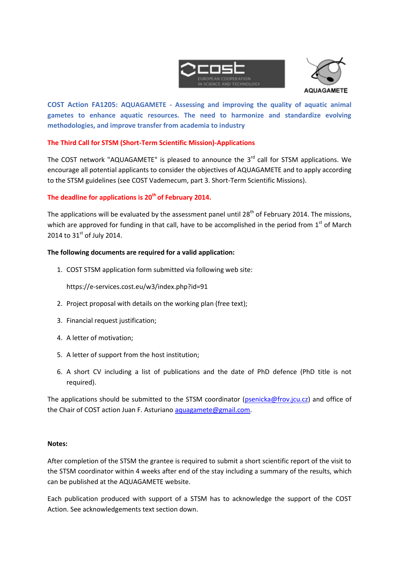



**COST Action FA1205: AQUAGAMETE - Assessing and improving the quality of aquatic animal gametes to enhance aquatic resources. The need to harmonize and standardize evolving methodologies, and improve transfer from academia to industry**

## **The Third Call for STSM (Short-Term Scientific Mission)-Applications**

The COST network "AQUAGAMETE" is pleased to announce the 3<sup>rd</sup> call for STSM applications. We encourage all potential applicants to consider the objectives of AQUAGAMETE and to apply according to the STSM guidelines (see COST Vademecum, part 3. Short-Term Scientific Missions).

# **The deadline for applications is 20 th of February 2014.**

The applications will be evaluated by the assessment panel until  $28<sup>th</sup>$  of February 2014. The missions, which are approved for funding in that call, have to be accomplished in the period from  $1<sup>st</sup>$  of March 2014 to  $31^{st}$  of July 2014.

### **The following documents are required for a valid application:**

1. COST STSM application form submitted via following web site:

https://e-services.cost.eu/w3/index.php?id=91

- 2. Project proposal with details on the working plan (free text);
- 3. Financial request justification;
- 4. A letter of motivation;
- 5. A letter of support from the host institution;
- 6. A short CV including a list of publications and the date of PhD defence (PhD title is not required).

The applications should be submitted to the STSM coordinator [\(psenicka@frov.jcu.cz\)](mailto:psenicka@frov.jcu.cz) and office of the Chair of COST action Juan F. Asturiano [aquagamete@gmail.com.](mailto:aquagamete@gmail.com)

### **Notes:**

After completion of the STSM the grantee is required to submit a short scientific report of the visit to the STSM coordinator within 4 weeks after end of the stay including a summary of the results, which can be published at the AQUAGAMETE website.

Each publication produced with support of a STSM has to acknowledge the support of the COST Action. See acknowledgements text section down.